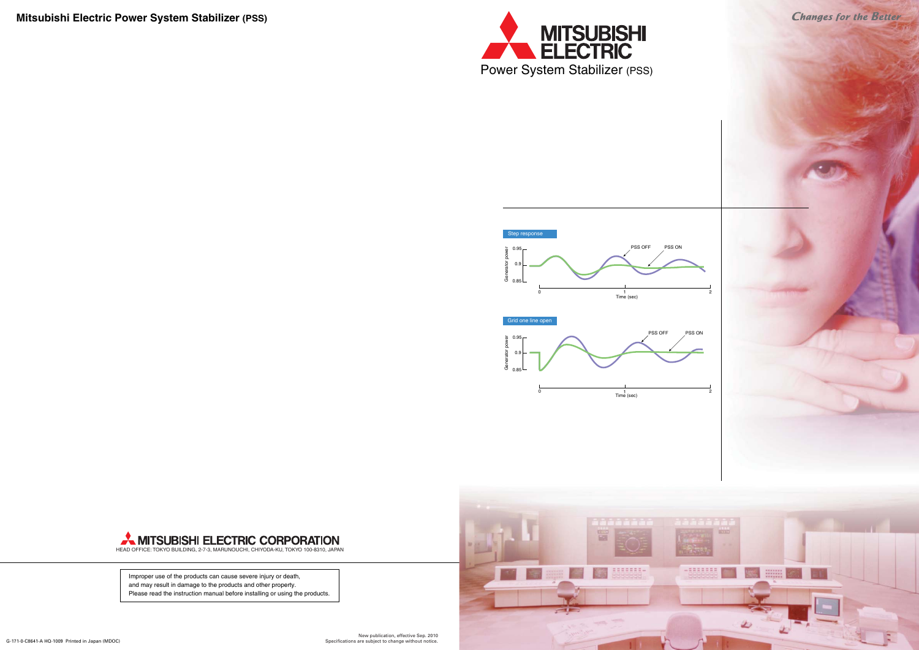New publication, effective Sep. 2010 Specifications are subject to change without notice.



Improper use of the products can cause severe injury or death, and may result in damage to the products and other property. Please read the instruction manual before installing or using the products.

**Mitsubishi Electric Power System Stabilizer (PSS)**





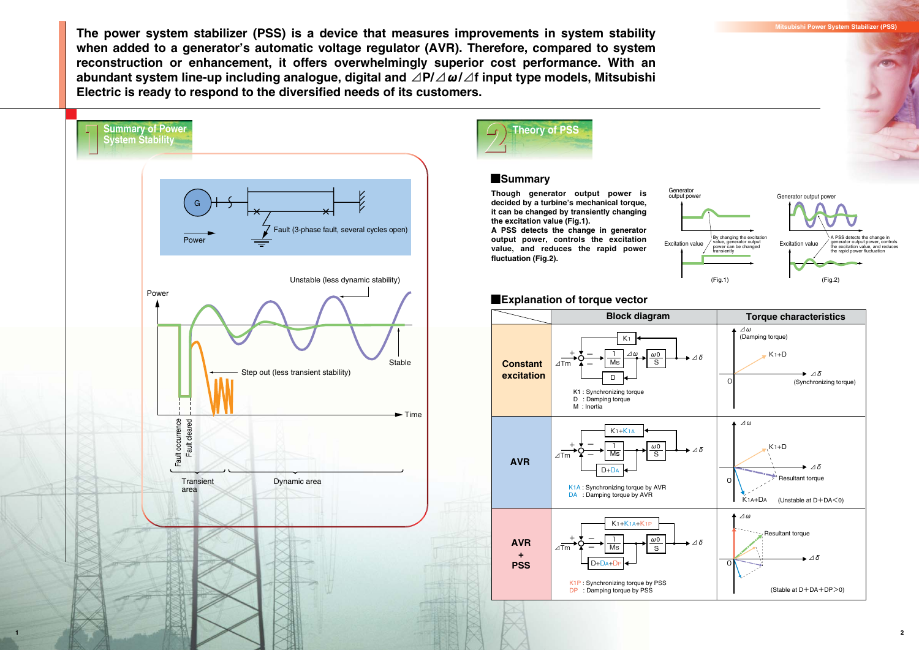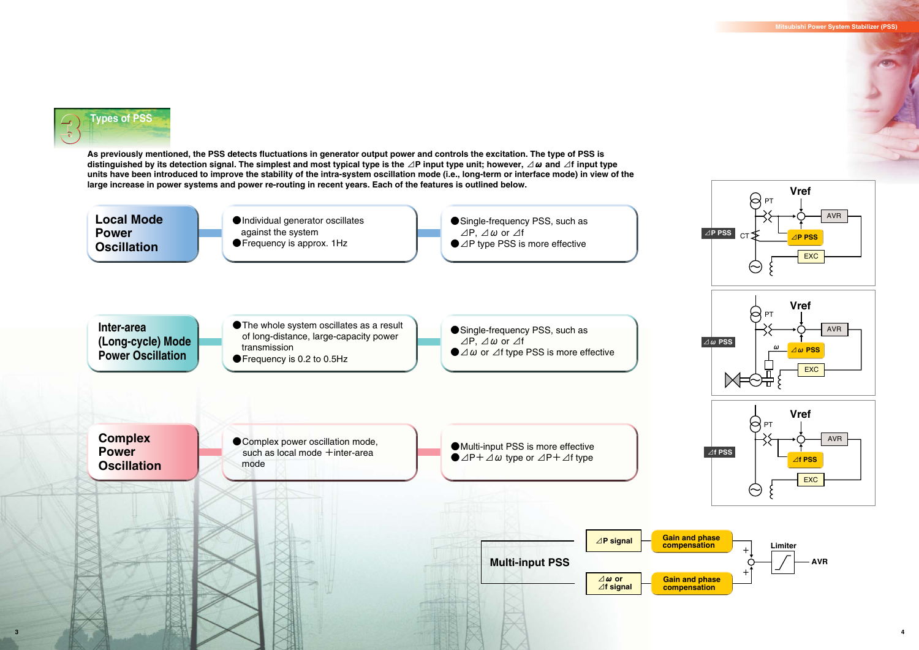





#### **Mitsubishi Power System Stabilizer (PSS)**

**As previously mentioned, the PSS detects fluctuations in generator output power and controls the excitation. The type of PSS is distinguished by its detection signal. The simplest and most typical type is the ⊿P input type unit; however, ⊿ω and ⊿f input type units have been introduced to improve the stability of the intra-system oscillation mode (i.e., long-term or interface mode) in view of the large increase in power systems and power re-routing in recent years. Each of the features is outlined below.** 





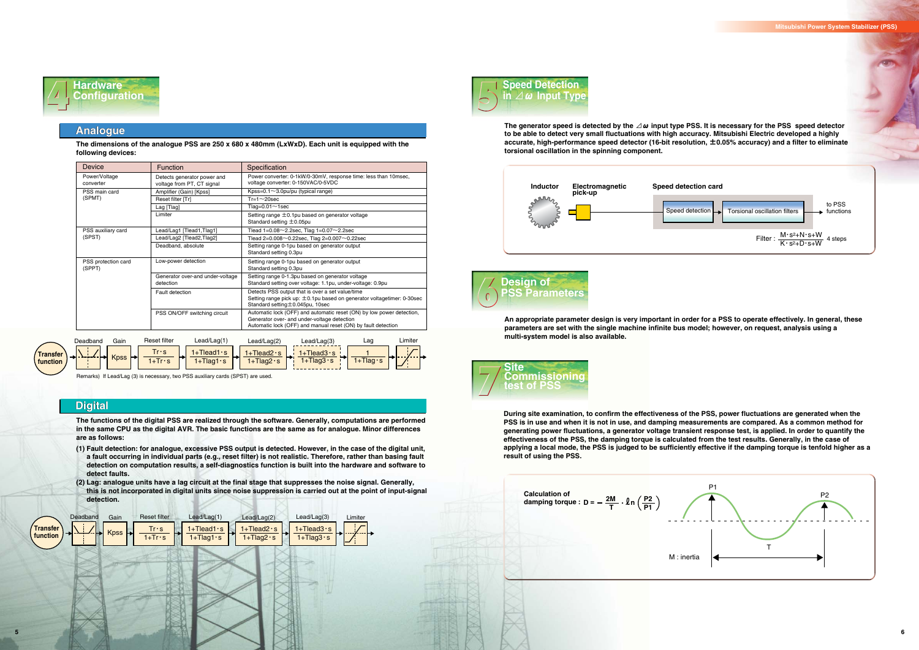



| Device                        | <b>Function</b>                                           | Specification                                                                                                                                                                         |
|-------------------------------|-----------------------------------------------------------|---------------------------------------------------------------------------------------------------------------------------------------------------------------------------------------|
| Power/Voltage<br>converter    | Detects generator power and<br>voltage from PT, CT signal | Power converter: 0-1kW/0-30mV, response time: less than 10msec,<br>voltage converter: 0-150VAC/0-5VDC                                                                                 |
| PSS main card                 | Amplifier (Gain) [Kpss]                                   | Kpss=0.1 $\sim$ 3.0pu/pu (typical range)                                                                                                                                              |
| (SPMT)                        | Reset filter [Tr]                                         | $Tr=1 \sim 20$ sec                                                                                                                                                                    |
|                               | Lag [Tlag]                                                | Tlag= $0.01 \sim$ 1sec                                                                                                                                                                |
|                               | Limiter                                                   | Setting range $\pm$ 0.1pu based on generator voltage<br>Standard setting $\pm$ 0.05pu                                                                                                 |
| PSS auxiliary card            | Lead/Lag1 [Tlead1, Tlag1]                                 | Tlead $1=0.08\sim$ 2.2sec, Tlag $1=0.07\sim$ 2.2sec                                                                                                                                   |
| (SPST)                        | Lead/Lag2 [Tlead2,Tlag2]                                  | Tlead 2=0.008 $\sim$ 0.22sec, Tlag 2=0.007 $\sim$ 0.22sec                                                                                                                             |
|                               | Deadband, absolute                                        | Setting range 0-1pu based on generator output<br>Standard setting 0.3pu                                                                                                               |
| PSS protection card<br>(SPPT) | Low-power detection                                       | Setting range 0-1pu based on generator output<br>Standard setting 0.3pu                                                                                                               |
|                               | Generator over-and under-voltage<br>detection             | Setting range 0-1.3pu based on generator voltage<br>Standard setting over voltage: 1.1pu, under-voltage: 0.9pu                                                                        |
|                               | Fault detection                                           | Detects PSS output that is over a set value/time<br>Setting range pick up: $\pm$ 0.1pu based on generator voltagetimer: 0-30sec<br>Standard setting ±0.045pu, 10sec                   |
|                               | PSS ON/OFF switching circuit                              | Automatic lock (OFF) and automatic reset (ON) by low power detection,<br>Generator over- and under-voltage detection<br>Automatic lock (OFF) and manual reset (ON) by fault detection |





Remarks) If Lead/Lag (3) is necessary, two PSS auxiliary cards (SPST) are used.





## **Analogue**

# **Digital Digital**



**The dimensions of the analogue PSS are 250 x 680 x 480mm (LxWxD). Each unit is equipped with the following devices:** 

**The functions of the digital PSS are realized through the software. Generally, computations are performed in the same CPU as the digital AVR. The basic functions are the same as for analogue. Minor differences are as follows:**

- **(1) Fault detection: for analogue, excessive PSS output is detected. However, in the case of the digital unit, a fault occurring in individual parts (e.g., reset filter) is not realistic. Therefore, rather than basing fault detection on computation results, a self-diagnostics function is built into the hardware and software to detect faults.**
- **(2) Lag: analogue units have a lag circuit at the final stage that suppresses the noise signal. Generally, this is not incorporated in digital units since noise suppression is carried out at the point of input-signal detection.**



**The generator speed is detected by the ⊿ω input type PSS. It is necessary for the PSS speed detector to be able to detect very small fluctuations with high accuracy. Mitsubishi Electric developed a highly accurate, high-performance speed detector (16-bit resolution, ±0.05% accuracy) and a filter to eliminate torsional oscillation in the spinning component.**

**An appropriate parameter design is very important in order for a PSS to operate effectively. In general, these parameters are set with the single machine infinite bus model; however, on request, analysis using a multi-system model is also available.** 

**During site examination, to confirm the effectiveness of the PSS, power fluctuations are generated when the PSS is in use and when it is not in use, and damping measurements are compared. As a common method for generating power fluctuations, a generator voltage transient response test, is applied. In order to quantify the effectiveness of the PSS, the damping torque is calculated from the test results. Generally, in the case of applying a local mode, the PSS is judged to be sufficiently effective if the damping torque is tenfold higher as a result of using the PSS.**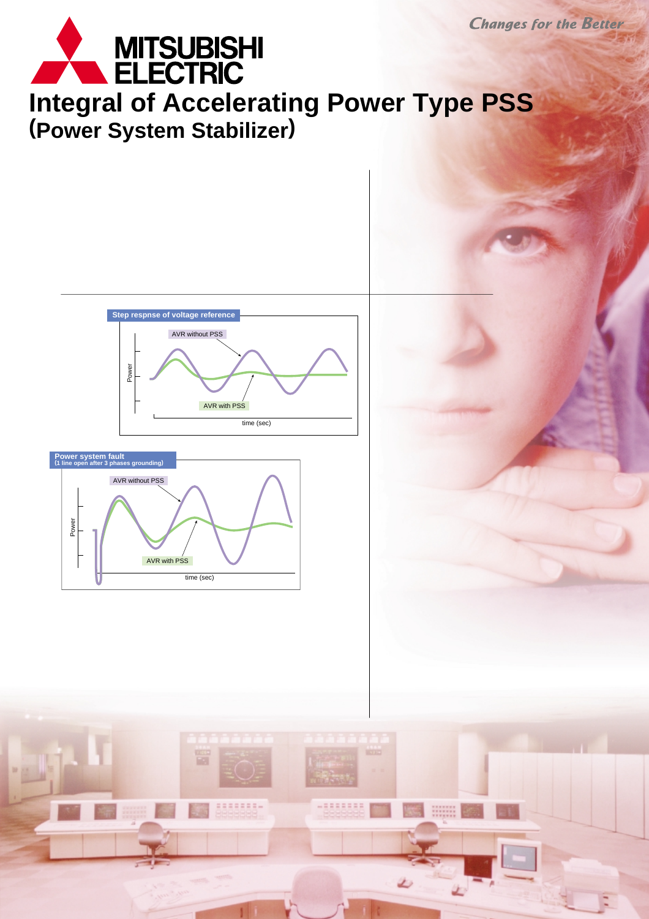





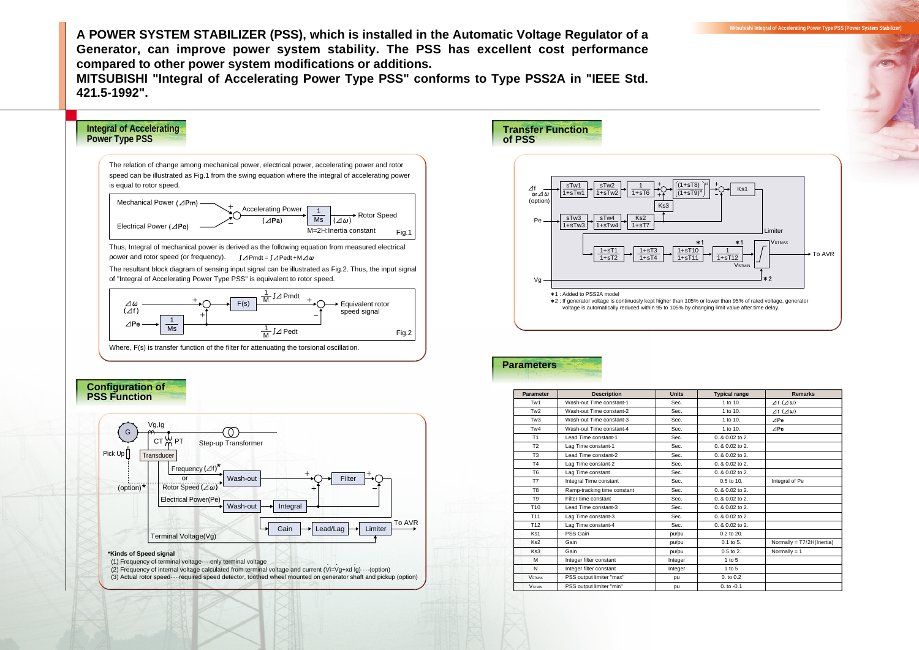**A POWER SYSTEM STABILIZER (PSS), which is installed in the Automatic Voltage Regulator of a Generator, can improve power system stability. The PSS has excellent cost performance compared to other power system modifications or additions.** 

**MITSUBISHI "Integral of Accelerating Power Type PSS" conforms to Type PSS2A in "IEEE Std. 421.5-1992".**

| <b>Typical range</b> | <b>Remarks</b>                 |
|----------------------|--------------------------------|
| 1 to 10.             | $\Delta f$ ( $\Delta \omega$ ) |
| 1 to 10.             | $\Delta f$ ( $\Delta \omega$ ) |
| 1 to 10.             | $\angle$ Pe                    |
| 1 to 10.             | $\triangle$ Pe                 |
| 0. & 0.02 to 2.      |                                |
| 0. & 0.02 to 2.      |                                |
| 0. & 0.02 to 2.      |                                |
| 0. & 0.02 to 2.      |                                |
| 0. & 0.02 to 2.      |                                |
| 0.5 to 10.           | Integral of Pe                 |
| 0. & 0.02 to 2.      |                                |
| 0. & 0.02 to 2.      |                                |
| 0. & 0.02 to 2.      |                                |
| 0. & 0.02 to 2.      |                                |
| 0. & 0.02 to 2.      |                                |
| 0.2 to 20.           |                                |
| $0.1$ to 5.          | Normally = T7/2H(Inertia)      |
| $0.5$ to $2.$        | Normally $= 1$                 |
| $1$ to $5$           |                                |
| 1 to $5$             |                                |
| 0. to 0.2            |                                |
| $0. to -0.1$         |                                |